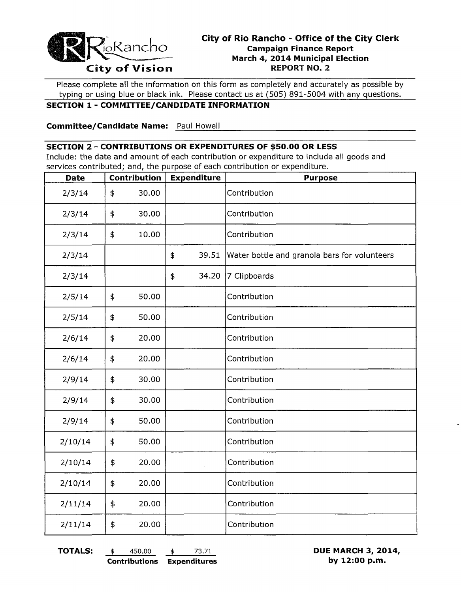

Please complete all the information on this form as completely and accurately as possible by typing or using blue or black ink. Please contact us at (505) 891-5004 with any questions.

#### **SECTION 1- COMMITTEE/CANDIDATE INFORMATION**

---------------------------------------------- **Committee/Candidate Name:** Paul Howell

#### **SECTION 2 - CONTRIBUTIONS OR EXPENDITURES OF \$50.00 OR LESS**

Include: the date and amount of each contribution or expenditure to include all goods and services contributed; and, the purpose of each contribution or expenditure.

| <b>Date</b> | Contribution | <b>Expenditure</b> |       | <b>Purpose</b>                               |  |
|-------------|--------------|--------------------|-------|----------------------------------------------|--|
| 2/3/14      | \$<br>30.00  |                    |       | Contribution                                 |  |
| 2/3/14      | \$<br>30.00  |                    |       | Contribution                                 |  |
| 2/3/14      | \$<br>10.00  |                    |       | Contribution                                 |  |
| 2/3/14      |              | \$                 | 39.51 | Water bottle and granola bars for volunteers |  |
| 2/3/14      |              | \$                 | 34.20 | 7 Clipboards                                 |  |
| 2/5/14      | \$<br>50.00  |                    |       | Contribution                                 |  |
| 2/5/14      | \$<br>50.00  |                    |       | Contribution                                 |  |
| 2/6/14      | \$<br>20.00  |                    |       | Contribution                                 |  |
| 2/6/14      | \$<br>20.00  |                    |       | Contribution                                 |  |
| 2/9/14      | \$<br>30.00  |                    |       | Contribution                                 |  |
| 2/9/14      | \$<br>30.00  |                    |       | Contribution                                 |  |
| 2/9/14      | \$<br>50.00  |                    |       | Contribution                                 |  |
| 2/10/14     | \$<br>50.00  |                    |       | Contribution                                 |  |
| 2/10/14     | \$<br>20.00  |                    |       | Contribution                                 |  |
| 2/10/14     | \$<br>20.00  |                    |       | Contribution                                 |  |
| 2/11/14     | \$<br>20.00  |                    |       | Contribution                                 |  |
| 2/11/14     | \$<br>20.00  |                    |       | Contribution                                 |  |

**TOTALS:** \$ 450.00 \$ 73.71 **DUE MARCH 3, 2014, Contributions Expenditures by 12:00 p.m.**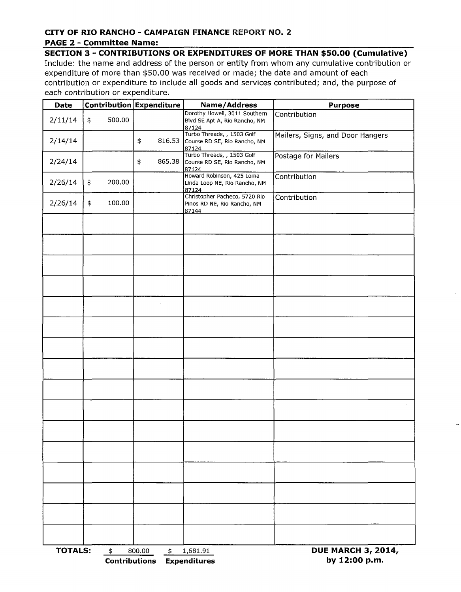### **CITY OF RIO RANCHO - CAMPAIGN FINANCE REPORT NO. 2**

#### **PAGE 2 - Committee Name:**

**SECTION 3 - CONTRIBUTIONS OR EXPENDITURES OF MORE THAN \$50.00 (Cumulative)**  Include: the name and address of the person or entity from whom any cumulative contribution or expenditure of more than \$50.00 was received or made; the date and amount of each contribution or expenditure to include all goods and services contributed; and, the purpose of each contribution or expenditure.

| Date           |              | <b>Contribution Expenditure</b>      | Name/Address                                                            | <b>Purpose</b>                             |  |
|----------------|--------------|--------------------------------------|-------------------------------------------------------------------------|--------------------------------------------|--|
| 2/11/14        | 500.00<br>\$ |                                      | Dorothy Howell, 3011 Southern<br>Blvd SE Apt A, Rio Rancho, NM<br>87124 | Contribution                               |  |
| 2/14/14        |              | \$<br>816.53                         | Turbo Threads, , 1503 Golf<br>Course RD SE, Rio Rancho, NM<br>87124     | Mailers, Signs, and Door Hangers           |  |
| 2/24/14        |              | \$<br>865.38                         | Turbo Threads, , 1503 Golf<br>Course RD SE, Rio Rancho, NM<br>87124     | Postage for Mailers                        |  |
| 2/26/14        | 200.00<br>\$ |                                      | Howard Robinson, 425 Loma<br>Linda Loop NE, Rio Rancho, NM<br>87124     | Contribution                               |  |
| 2/26/14        | \$<br>100.00 |                                      | Christopher Pacheco, 5720 Rio<br>Pinos RD NE, Rio Rancho, NM<br>87144   | Contribution                               |  |
|                |              |                                      |                                                                         |                                            |  |
|                |              |                                      |                                                                         |                                            |  |
|                |              |                                      |                                                                         |                                            |  |
|                |              |                                      |                                                                         |                                            |  |
|                |              |                                      |                                                                         |                                            |  |
|                |              |                                      |                                                                         |                                            |  |
|                |              |                                      |                                                                         |                                            |  |
|                |              |                                      |                                                                         |                                            |  |
|                |              |                                      |                                                                         |                                            |  |
|                |              |                                      |                                                                         |                                            |  |
|                |              |                                      |                                                                         |                                            |  |
|                |              |                                      |                                                                         |                                            |  |
|                |              |                                      |                                                                         |                                            |  |
|                |              |                                      |                                                                         |                                            |  |
|                |              |                                      |                                                                         |                                            |  |
|                |              |                                      |                                                                         |                                            |  |
| <b>TOTALS:</b> | $\ddagger$   | 800.00<br>\$<br><b>Contributions</b> | 1,681.91<br><b>Expenditures</b>                                         | <b>DUE MARCH 3, 2014,</b><br>by 12:00 p.m. |  |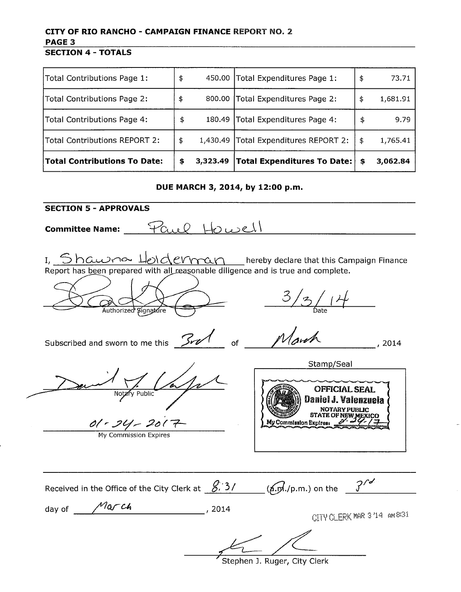## **CITY OF RIO RANCHO - CAMPAIGN FINANCE** REPORT NO.2 **PAGE 3**

**SECTION 4 - TOTALS** 

| Total Contributions Page 1:          | \$             | 450.00 Total Expenditures Page 1: | \$<br>73.71    |
|--------------------------------------|----------------|-----------------------------------|----------------|
| Total Contributions Page 2:          | \$<br>800.00   | Total Expenditures Page 2:        | \$<br>1,681.91 |
| Total Contributions Page 4:          | \$<br>180.49   | Total Expenditures Page 4:        | \$<br>9.79     |
| <b>Total Contributions REPORT 2:</b> | \$<br>1,430.49 | Total Expenditures REPORT 2:      | \$<br>1,765.41 |
| <b>Total Contributions To Date:</b>  | \$<br>3,323.49 | Total Expenditures To Date:       | \$<br>3,062.84 |

**DUE MARCH 3, 2014, by 12:00 p.m.** 

**SECTION** 5 - **APPROVALS** Committee Name: Paul Howell I,  $5$  h awne  $\frac{1}{\omega}$  of extrain thereby declare that this Campaign Finance Report has been prepared with all reasonable diligence and is true and complete.  $\frac{2}{1}$ Authorized Signature of  $M$  and  $\sim$   $10^{14}$ Subscribed and sworn to me this **300** Stamp/Seal OFFICIAL SEAL Daniel J. Valenzuela NOTARY PUBLIC<br>STATE OF NEW MEXICO  $0$   $-20$   $-20$   $\frac{1}{2}$  My Commission Expires My Commission Expires Received in the Office of the City Clerk at  $\frac{8.3}{}$   $(6.5/10.5)$  on the  $\frac{3}{ }$ day of  $\frac{Max - cA}{...}$ , 2014 CITY CLERK MAR 3'14 AM 8/31 Stephen J. Ruger, City Clerk